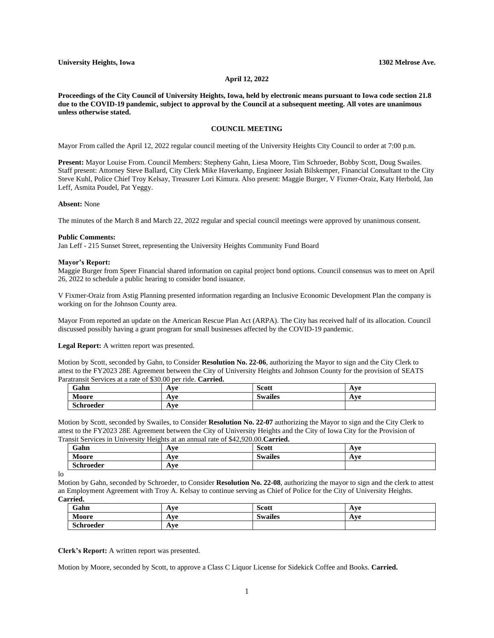## **April 12, 2022**

**Proceedings of the City Council of University Heights, Iowa, held by electronic means pursuant to Iowa code section 21.8 due to the COVID-19 pandemic, subject to approval by the Council at a subsequent meeting. All votes are unanimous unless otherwise stated.**

# **COUNCIL MEETING**

Mayor From called the April 12, 2022 regular council meeting of the University Heights City Council to order at 7:00 p.m.

**Present:** Mayor Louise From. Council Members: Stepheny Gahn, Liesa Moore, Tim Schroeder, Bobby Scott, Doug Swailes. Staff present: Attorney Steve Ballard, City Clerk Mike Haverkamp, Engineer Josiah Bilskemper, Financial Consultant to the City Steve Kuhl, Police Chief Troy Kelsay, Treasurer Lori Kimura. Also present: Maggie Burger, V Fixmer-Oraiz, Katy Herbold, Jan Leff, Asmita Poudel, Pat Yeggy.

#### **Absent:** None

The minutes of the March 8 and March 22, 2022 regular and special council meetings were approved by unanimous consent.

#### **Public Comments:**

Jan Leff - 215 Sunset Street, representing the University Heights Community Fund Board

### **Mayor's Report:**

Maggie Burger from Speer Financial shared information on capital project bond options. Council consensus was to meet on April 26, 2022 to schedule a public hearing to consider bond issuance.

V Fixmer-Oraiz from Astig Planning presented information regarding an Inclusive Economic Development Plan the company is working on for the Johnson County area.

Mayor From reported an update on the American Rescue Plan Act (ARPA). The City has received half of its allocation. Council discussed possibly having a grant program for small businesses affected by the COVID-19 pandemic.

**Legal Report:** A written report was presented.

Motion by Scott, seconded by Gahn, to Consider **Resolution No. 22-06**, authorizing the Mayor to sign and the City Clerk to attest to the FY2023 28E Agreement between the City of University Heights and Johnson County for the provision of SEATS Paratransit Services at a rate of \$30.00 per ride. **Carried.**

| $\sim$<br>Gahn                     | T<br>. .                       | $\sim$<br>Scott                            | 1 VA<br>$\mathbf{u}$       |
|------------------------------------|--------------------------------|--------------------------------------------|----------------------------|
| . .<br>N.<br><b>A</b>              | $\mathbf{v}$<br>$\overline{1}$ | $\ddot{\phantom{a}}$<br>$\sim$<br>swailer. | $\mathbf{V}$<br><b>TIM</b> |
| $\sim$ $\blacksquare$<br>Schroeder | $\mathbf{v}$<br>               |                                            |                            |

Motion by Scott, seconded by Swailes, to Consider **Resolution No. 22-07** authorizing the Mayor to sign and the City Clerk to attest to the FY2023 28E Agreement between the City of University Heights and the City of Iowa City for the Provision of Transit Services in University Heights at an annual rate of \$42,920.00.**Carried.**

| Gahn             | <b>WA</b><br><b>AVU</b>    | <b>Scott</b>   | Ave |
|------------------|----------------------------|----------------|-----|
| Moore            | $\sqrt{370}$<br><b>AVC</b> | <b>Swailes</b> | Ave |
| <b>Schroeder</b> | WΑ<br>AVC                  |                |     |

lo

Motion by Gahn, seconded by Schroeder, to Consider **Resolution No. 22-08**, authorizing the mayor to sign and the clerk to attest an Employment Agreement with Troy A. Kelsay to continue serving as Chief of Police for the City of University Heights. **Carried.**

| Gahn      | $\mathbf{V}$<br><b>A</b>           | Scott          | Ave |
|-----------|------------------------------------|----------------|-----|
| Moore     | A VA<br>$\overline{1}$             | <b>Swailes</b> | Ave |
| Schroeder | $\mathbf{V}$<br><i><b>TIVE</b></i> |                |     |

**Clerk's Report:** A written report was presented.

Motion by Moore, seconded by Scott, to approve a Class C Liquor License for Sidekick Coffee and Books. **Carried.**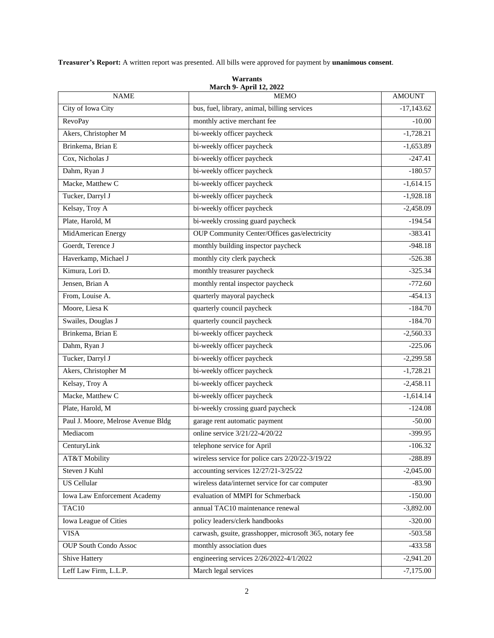**Treasurer's Report:** A written report was presented. All bills were approved for payment by **unanimous consent**.

| <b>NAME</b>                         | <b>March 9- April 12, 2022</b><br><b>MEMO</b>           | <b>AMOUNT</b> |
|-------------------------------------|---------------------------------------------------------|---------------|
| City of Iowa City                   | bus, fuel, library, animal, billing services            | $-17,143.62$  |
| <b>RevoPay</b>                      | monthly active merchant fee                             | $-10.00$      |
| Akers, Christopher M                | bi-weekly officer paycheck                              | $-1,728.21$   |
| Brinkema, Brian E                   | bi-weekly officer paycheck                              | $-1,653.89$   |
| Cox, Nicholas J                     | bi-weekly officer paycheck                              | $-247.41$     |
| Dahm, Ryan J                        | bi-weekly officer paycheck                              | $-180.57$     |
| Macke, Matthew C                    | bi-weekly officer paycheck                              | $-1,614.15$   |
| Tucker, Darryl J                    | bi-weekly officer paycheck                              | $-1,928.18$   |
| Kelsay, Troy A                      | bi-weekly officer paycheck                              | $-2,458.09$   |
| Plate, Harold, M                    | bi-weekly crossing guard paycheck                       | $-194.54$     |
| MidAmerican Energy                  | <b>OUP Community Center/Offices gas/electricity</b>     | $-383.41$     |
| Goerdt, Terence J                   | monthly building inspector paycheck                     | $-948.18$     |
| Haverkamp, Michael J                | monthly city clerk paycheck                             | $-526.38$     |
| Kimura, Lori D.                     | monthly treasurer paycheck                              | $-325.34$     |
| Jensen, Brian A                     | monthly rental inspector paycheck                       | $-772.60$     |
| From, Louise A.                     | quarterly mayoral paycheck                              | $-454.13$     |
| Moore, Liesa K                      | quarterly council paycheck                              | $-184.70$     |
| Swailes, Douglas J                  | quarterly council paycheck                              | $-184.70$     |
| Brinkema, Brian E                   | bi-weekly officer paycheck                              | $-2,560.33$   |
| Dahm, Ryan J                        | bi-weekly officer paycheck                              | $-225.06$     |
| Tucker, Darryl J                    | bi-weekly officer paycheck                              | $-2,299.58$   |
| Akers, Christopher M                | bi-weekly officer paycheck                              | $-1,728.21$   |
| Kelsay, Troy A                      | bi-weekly officer paycheck                              | $-2,458.11$   |
| Macke, Matthew C                    | bi-weekly officer paycheck                              | $-1,614.14$   |
| Plate, Harold, M                    | bi-weekly crossing guard paycheck                       | $-124.08$     |
| Paul J. Moore, Melrose Avenue Bldg  | garage rent automatic payment                           | $-50.00$      |
| Mediacom                            | online service 3/21/22-4/20/22                          | $-399.95$     |
| CenturyLink                         | telephone service for April                             | $-106.32$     |
| AT&T Mobility                       | wireless service for police cars 2/20/22-3/19/22        | $-288.89$     |
| Steven J Kuhl                       | accounting services 12/27/21-3/25/22                    | $-2,045.00$   |
| <b>US</b> Cellular                  | wireless data/internet service for car computer         | $-83.90$      |
| <b>Iowa Law Enforcement Academy</b> | evaluation of MMPI for Schmerback                       | $-150.00$     |
| TAC10                               | annual TAC10 maintenance renewal                        | $-3,892.00$   |
| Iowa League of Cities               | policy leaders/clerk handbooks                          | $-320.00$     |
| <b>VISA</b>                         | carwash, gsuite, grasshopper, microsoft 365, notary fee | $-503.58$     |
| <b>OUP South Condo Assoc</b>        | monthly association dues                                | $-433.58$     |
| Shive Hattery                       | engineering services 2/26/2022-4/1/2022                 | $-2,941.20$   |
| Leff Law Firm, L.L.P.               | March legal services                                    | $-7,175.00$   |

**Warrants**